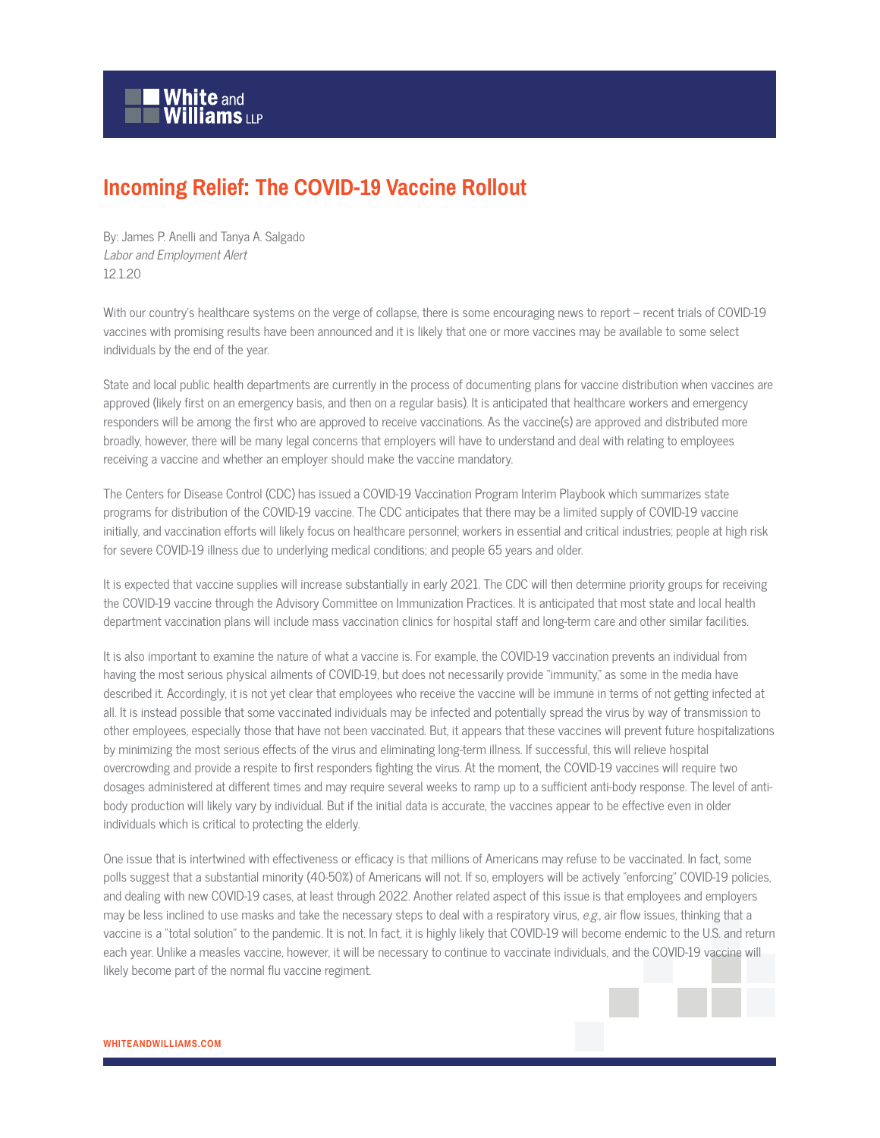

## **Incoming Relief: The COVID-19 Vaccine Rollout**

By: James P. Anelli and Tanya A. Salgado Labor and Employment Alert 12.1.20

With our country's healthcare systems on the verge of collapse, there is some encouraging news to report – recent trials of COVID-19 vaccines with promising results have been announced and it is likely that one or more vaccines may be available to some select individuals by the end of the year.

State and local public health departments are currently in the process of documenting plans for vaccine distribution when vaccines are approved (likely first on an emergency basis, and then on a regular basis). It is anticipated that healthcare workers and emergency responders will be among the first who are approved to receive vaccinations. As the vaccine(s) are approved and distributed more broadly, however, there will be many legal concerns that employers will have to understand and deal with relating to employees receiving a vaccine and whether an employer should make the vaccine mandatory.

The Centers for Disease Control (CDC) has issued a COVID-19 Vaccination Program Interim Playbook which summarizes state programs for distribution of the COVID-19 vaccine. The CDC anticipates that there may be a limited supply of COVID-19 vaccine initially, and vaccination efforts will likely focus on healthcare personnel; workers in essential and critical industries; people at high risk for severe COVID-19 illness due to underlying medical conditions; and people 65 years and older.

It is expected that vaccine supplies will increase substantially in early 2021. The CDC will then determine priority groups for receiving the COVID-19 vaccine through the Advisory Committee on Immunization Practices. It is anticipated that most state and local health department vaccination plans will include mass vaccination clinics for hospital staff and long-term care and other similar facilities.

It is also important to examine the nature of what a vaccine is. For example, the COVID-19 vaccination prevents an individual from having the most serious physical ailments of COVID-19, but does not necessarily provide "immunity," as some in the media have described it. Accordingly, it is not yet clear that employees who receive the vaccine will be immune in terms of not getting infected at all. It is instead possible that some vaccinated individuals may be infected and potentially spread the virus by way of transmission to other employees, especially those that have not been vaccinated. But, it appears that these vaccines will prevent future hospitalizations by minimizing the most serious effects of the virus and eliminating long-term illness. If successful, this will relieve hospital overcrowding and provide a respite to first responders fighting the virus. At the moment, the COVID-19 vaccines will require two dosages administered at different times and may require several weeks to ramp up to a sufficient anti-body response. The level of antibody production will likely vary by individual. But if the initial data is accurate, the vaccines appear to be effective even in older individuals which is critical to protecting the elderly.

One issue that is intertwined with effectiveness or efficacy is that millions of Americans may refuse to be vaccinated. In fact, some polls suggest that a substantial minority (40-50%) of Americans will not. If so, employers will be actively "enforcing" COVID-19 policies, and dealing with new COVID-19 cases, at least through 2022. Another related aspect of this issue is that employees and employers may be less inclined to use masks and take the necessary steps to deal with a respiratory virus, e.g., air flow issues, thinking that a vaccine is a "total solution" to the pandemic. It is not. In fact, it is highly likely that COVID-19 will become endemic to the U.S. and return each year. Unlike a measles vaccine, however, it will be necessary to continue to vaccinate individuals, and the COVID-19 vaccine will likely become part of the normal flu vaccine regiment.